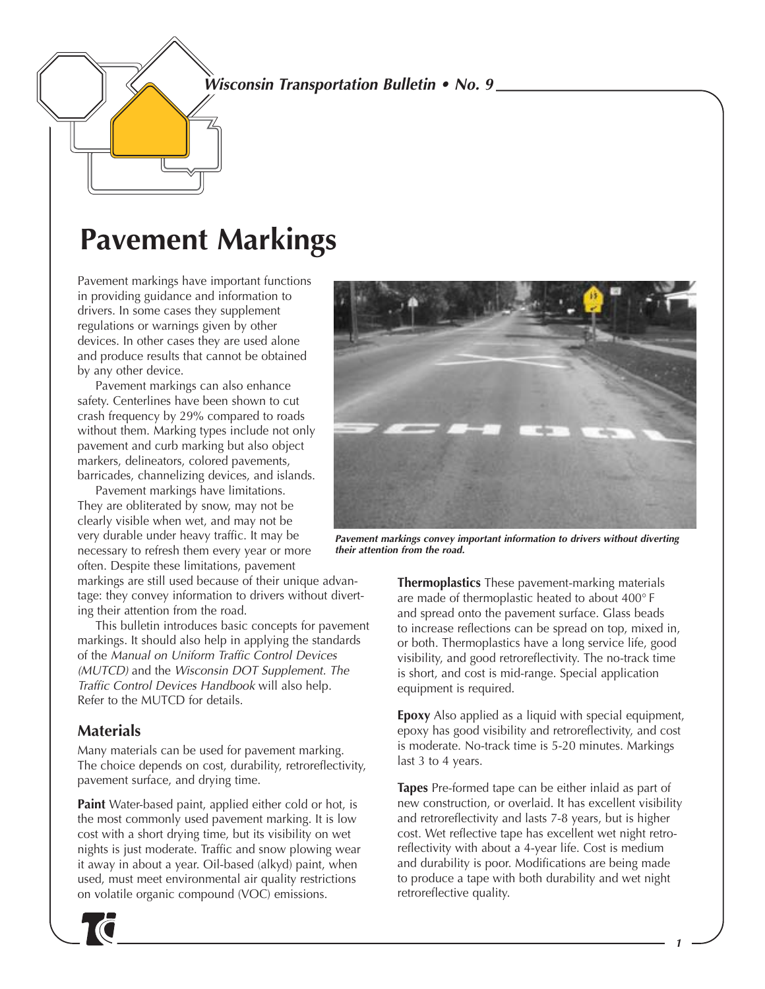### **Wisconsin Transportation Bulletin • No. 9**

# **Pavement Markings**

Pavement markings have important functions in providing guidance and information to drivers. In some cases they supplement regulations or warnings given by other devices. In other cases they are used alone and produce results that cannot be obtained by any other device.

Pavement markings can also enhance safety. Centerlines have been shown to cut crash frequency by 29% compared to roads without them. Marking types include not only pavement and curb marking but also object markers, delineators, colored pavements, barricades, channelizing devices, and islands.

Pavement markings have limitations. They are obliterated by snow, may not be clearly visible when wet, and may not be very durable under heavy traffic. It may be necessary to refresh them every year or more often. Despite these limitations, pavement

markings are still used because of their unique advantage: they convey information to drivers without diverting their attention from the road.

This bulletin introduces basic concepts for pavement markings. It should also help in applying the standards of the Manual on Uniform Traffic Control Devices (MUTCD) and the Wisconsin DOT Supplement. The Traffic Control Devices Handbook will also help. Refer to the MUTCD for details.

### **Materials**

Many materials can be used for pavement marking. The choice depends on cost, durability, retroreflectivity, pavement surface, and drying time.

**Paint** Water-based paint, applied either cold or hot, is the most commonly used pavement marking. It is low cost with a short drying time, but its visibility on wet nights is just moderate. Traffic and snow plowing wear it away in about a year. Oil-based (alkyd) paint, when used, must meet environmental air quality restrictions on volatile organic compound (VOC) emissions.





**Pavement markings convey important information to drivers without diverting their attention from the road.**

**Thermoplastics** These pavement-marking materials are made of thermoplastic heated to about 400° F and spread onto the pavement surface. Glass beads to increase reflections can be spread on top, mixed in, or both. Thermoplastics have a long service life, good visibility, and good retroreflectivity. The no-track time is short, and cost is mid-range. Special application equipment is required.

**Epoxy** Also applied as a liquid with special equipment, epoxy has good visibility and retroreflectivity, and cost is moderate. No-track time is 5-20 minutes. Markings last 3 to 4 years.

**Tapes** Pre-formed tape can be either inlaid as part of new construction, or overlaid. It has excellent visibility and retroreflectivity and lasts 7-8 years, but is higher cost. Wet reflective tape has excellent wet night retroreflectivity with about a 4-year life. Cost is medium and durability is poor. Modifications are being made to produce a tape with both durability and wet night retroreflective quality.

**1**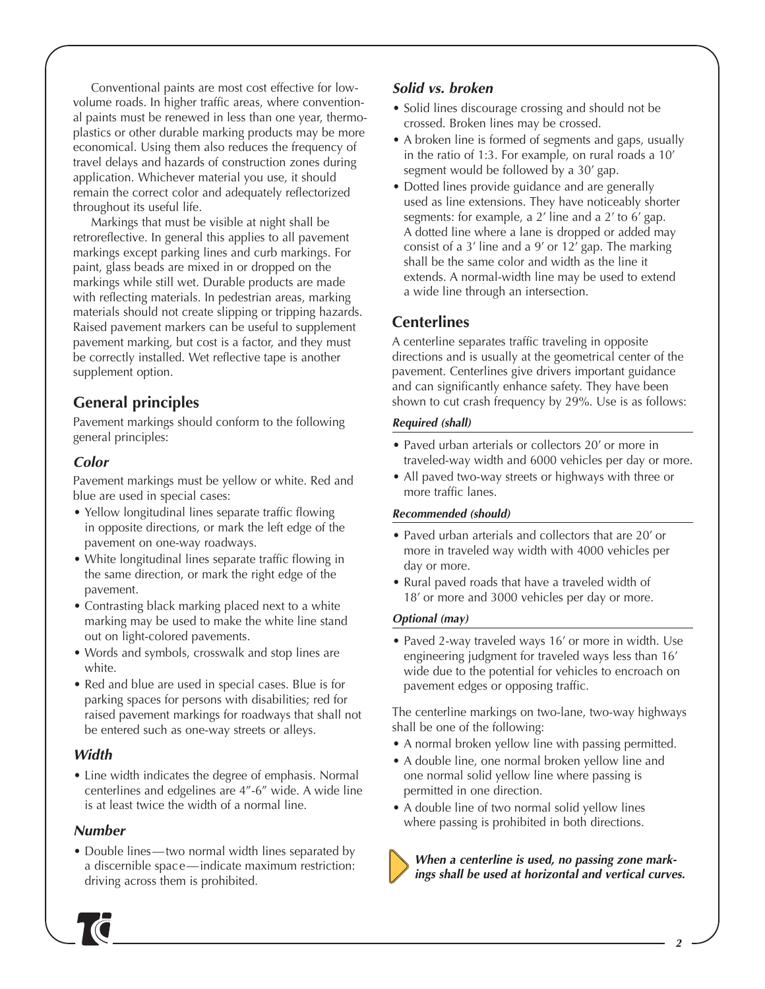Conventional paints are most cost effective for lowvolume roads. In higher traffic areas, where conventional paints must be renewed in less than one year, thermoplastics or other durable marking products may be more economical. Using them also reduces the frequency of travel delays and hazards of construction zones during application. Whichever material you use, it should remain the correct color and adequately reflectorized throughout its useful life.

Markings that must be visible at night shall be retroreflective. In general this applies to all pavement markings except parking lines and curb markings. For paint, glass beads are mixed in or dropped on the markings while still wet. Durable products are made with reflecting materials. In pedestrian areas, marking materials should not create slipping or tripping hazards. Raised pavement markers can be useful to supplement pavement marking, but cost is a factor, and they must be correctly installed. Wet reflective tape is another supplement option.

### **General principles**

Pavement markings should conform to the following general principles:

### **Color**

Pavement markings must be yellow or white. Red and blue are used in special cases:

- Yellow longitudinal lines separate traffic flowing in opposite directions, or mark the left edge of the pavement on one-way roadways.
- White longitudinal lines separate traffic flowing in the same direction, or mark the right edge of the pavement.
- Contrasting black marking placed next to a white marking may be used to make the white line stand out on light-colored pavements.
- Words and symbols, crosswalk and stop lines are white.
- Red and blue are used in special cases. Blue is for parking spaces for persons with disabilities; red for raised pavement markings for roadways that shall not be entered such as one-way streets or alleys.

#### **Width**

• Line width indicates the degree of emphasis. Normal centerlines and edgelines are 4"-6" wide. A wide line is at least twice the width of a normal line.

#### **Number**

• Double lines—two normal width lines separated by a discernible space—indicate maximum restriction: driving across them is prohibited.

#### **Solid vs. broken**

- Solid lines discourage crossing and should not be crossed. Broken lines may be crossed.
- A broken line is formed of segments and gaps, usually in the ratio of 1:3. For example, on rural roads a 10' segment would be followed by a 30' gap.
- Dotted lines provide guidance and are generally used as line extensions. They have noticeably shorter segments: for example, a 2' line and a 2' to 6' gap. A dotted line where a lane is dropped or added may consist of a 3' line and a 9' or 12' gap. The marking shall be the same color and width as the line it extends. A normal-width line may be used to extend a wide line through an intersection.

### **Centerlines**

A centerline separates traffic traveling in opposite directions and is usually at the geometrical center of the pavement. Centerlines give drivers important guidance and can significantly enhance safety. They have been shown to cut crash frequency by 29%. Use is as follows:

#### **Required (shall)**

- Paved urban arterials or collectors 20' or more in traveled-way width and 6000 vehicles per day or more.
- All paved two-way streets or highways with three or more traffic lanes.

#### **Recommended (should)**

- Paved urban arterials and collectors that are 20' or more in traveled way width with 4000 vehicles per day or more.
- Rural paved roads that have a traveled width of 18' or more and 3000 vehicles per day or more.

#### **Optional (may)**

• Paved 2-way traveled ways 16' or more in width. Use engineering judgment for traveled ways less than 16' wide due to the potential for vehicles to encroach on pavement edges or opposing traffic.

The centerline markings on two-lane, two-way highways shall be one of the following:

- A normal broken yellow line with passing permitted.
- A double line, one normal broken yellow line and one normal solid yellow line where passing is permitted in one direction.
- A double line of two normal solid yellow lines where passing is prohibited in both directions.

**When a centerline is used, no passing zone markings shall be used at horizontal and vertical curves.**

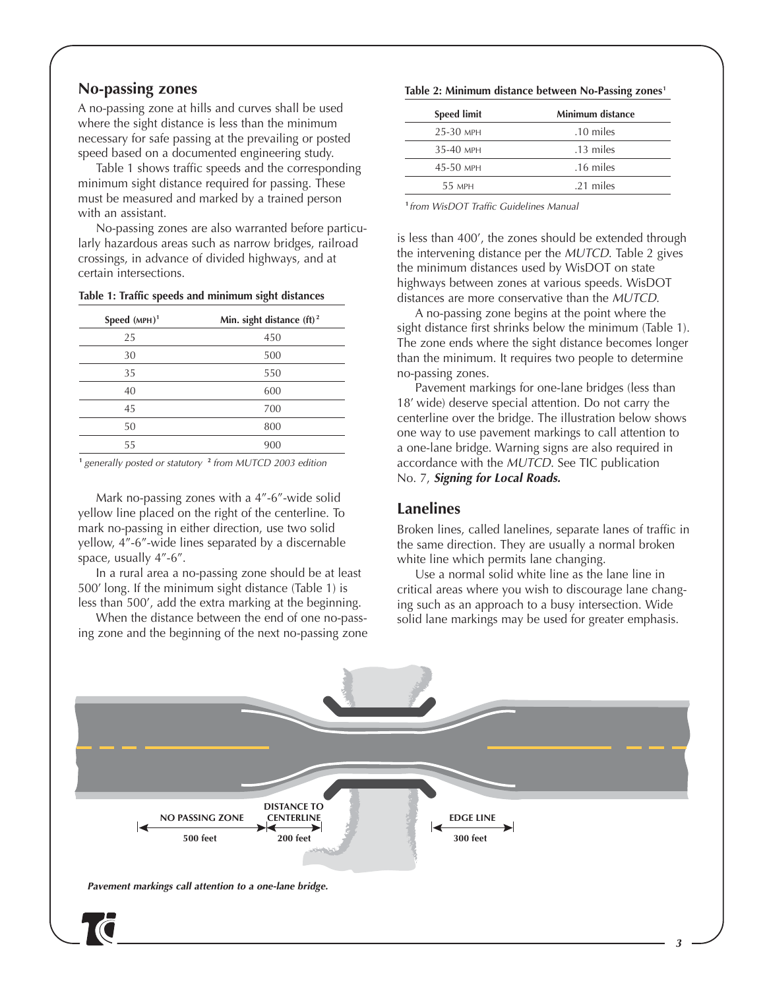#### **No-passing zones**

A no-passing zone at hills and curves shall be used where the sight distance is less than the minimum necessary for safe passing at the prevailing or posted speed based on a documented engineering study.

Table 1 shows traffic speeds and the corresponding minimum sight distance required for passing. These must be measured and marked by a trained person with an assistant.

No-passing zones are also warranted before particularly hazardous areas such as narrow bridges, railroad crossings, in advance of divided highways, and at certain intersections.

#### **Table 1: Traffic speeds and minimum sight distances**

| Speed $(MPH)1$ | Min. sight distance (ft) <sup>2</sup> |
|----------------|---------------------------------------|
| 25             | 450                                   |
| 30             | 500                                   |
| 35             | 550                                   |
| 40             | 600                                   |
| 45             | 700                                   |
| 50             | 800                                   |
| 55             | 900                                   |

**<sup>1</sup>** generally posted or statutory **<sup>2</sup>** from MUTCD 2003 edition

Mark no-passing zones with a 4"-6"-wide solid yellow line placed on the right of the centerline. To mark no-passing in either direction, use two solid yellow, 4"-6"-wide lines separated by a discernable space, usually 4"-6".

In a rural area a no-passing zone should be at least 500' long. If the minimum sight distance (Table 1) is less than 500', add the extra marking at the beginning.

When the distance between the end of one no-passing zone and the beginning of the next no-passing zone

#### Table 2: Minimum distance between No-Passing zones<sup>1</sup>

| <b>Speed limit</b> | Minimum distance |
|--------------------|------------------|
| 25-30 MPH          | .10 miles        |
| 35-40 MPH          | .13 miles        |
| $45-50$ MPH        | .16 miles        |
| 55 MPH             | .21 miles        |
|                    |                  |

**<sup>1</sup>** from WisDOT Traffic Guidelines Manual

is less than 400', the zones should be extended through the intervening distance per the MUTCD. Table 2 gives the minimum distances used by WisDOT on state highways between zones at various speeds. WisDOT distances are more conservative than the MUTCD.

A no-passing zone begins at the point where the sight distance first shrinks below the minimum (Table 1). The zone ends where the sight distance becomes longer than the minimum. It requires two people to determine no-passing zones.

Pavement markings for one-lane bridges (less than 18' wide) deserve special attention. Do not carry the centerline over the bridge. The illustration below shows one way to use pavement markings to call attention to a one-lane bridge. Warning signs are also required in accordance with the MUTCD. See TIC publication No. 7, **Signing for Local Roads.**

#### **Lanelines**

Broken lines, called lanelines, separate lanes of traffic in the same direction. They are usually a normal broken white line which permits lane changing.

Use a normal solid white line as the lane line in critical areas where you wish to discourage lane changing such as an approach to a busy intersection. Wide solid lane markings may be used for greater emphasis.

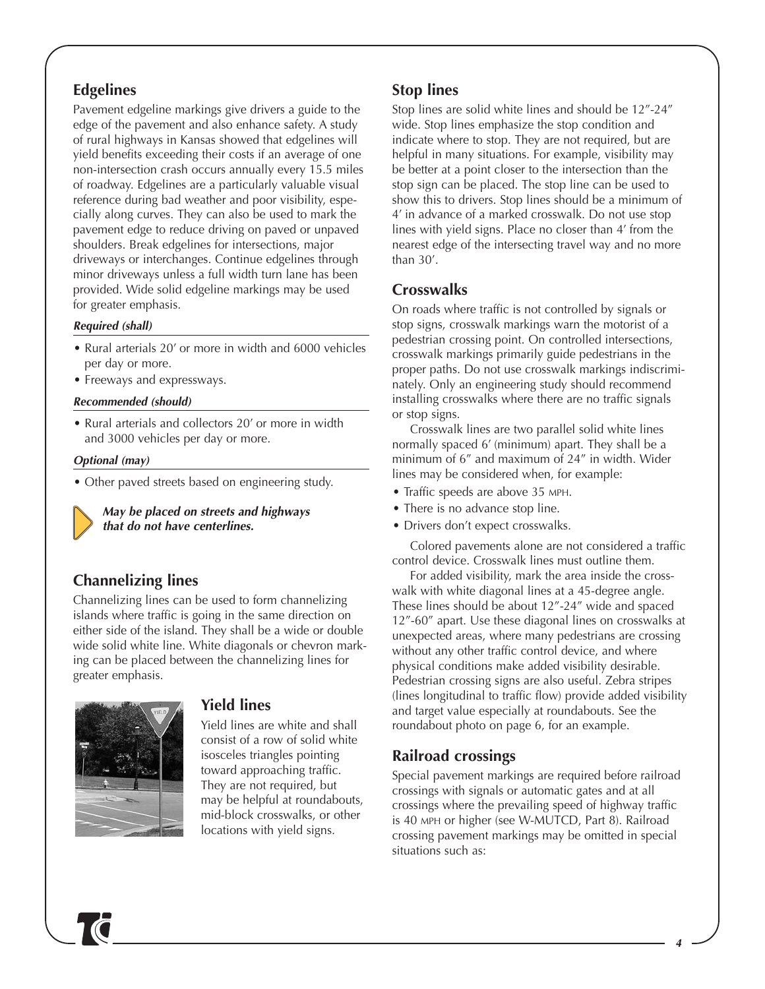### **Edgelines**

Pavement edgeline markings give drivers a guide to the edge of the pavement and also enhance safety. A study of rural highways in Kansas showed that edgelines will yield benefits exceeding their costs if an average of one non-intersection crash occurs annually every 15.5 miles of roadway. Edgelines are a particularly valuable visual reference during bad weather and poor visibility, especially along curves. They can also be used to mark the pavement edge to reduce driving on paved or unpaved shoulders. Break edgelines for intersections, major driveways or interchanges. Continue edgelines through minor driveways unless a full width turn lane has been provided. Wide solid edgeline markings may be used for greater emphasis.

#### **Required (shall)**

- Rural arterials 20' or more in width and 6000 vehicles per day or more.
- Freeways and expressways.

#### **Recommended (should)**

• Rural arterials and collectors 20' or more in width and 3000 vehicles per day or more.

#### **Optional (may)**

• Other paved streets based on engineering study.

**May be placed on streets and highways that do not have centerlines.**

### **Channelizing lines**

Channelizing lines can be used to form channelizing islands where traffic is going in the same direction on either side of the island. They shall be a wide or double wide solid white line. White diagonals or chevron marking can be placed between the channelizing lines for greater emphasis.



#### **Yield lines**

Yield lines are white and shall consist of a row of solid white isosceles triangles pointing toward approaching traffic. They are not required, but may be helpful at roundabouts, mid-block crosswalks, or other locations with yield signs.

### **Stop lines**

Stop lines are solid white lines and should be 12"-24" wide. Stop lines emphasize the stop condition and indicate where to stop. They are not required, but are helpful in many situations. For example, visibility may be better at a point closer to the intersection than the stop sign can be placed. The stop line can be used to show this to drivers. Stop lines should be a minimum of 4' in advance of a marked crosswalk. Do not use stop lines with yield signs. Place no closer than 4' from the nearest edge of the intersecting travel way and no more than 30'.

### **Crosswalks**

On roads where traffic is not controlled by signals or stop signs, crosswalk markings warn the motorist of a pedestrian crossing point. On controlled intersections, crosswalk markings primarily guide pedestrians in the proper paths. Do not use crosswalk markings indiscriminately. Only an engineering study should recommend installing crosswalks where there are no traffic signals or stop signs.

Crosswalk lines are two parallel solid white lines normally spaced 6' (minimum) apart. They shall be a minimum of 6" and maximum of 24" in width. Wider lines may be considered when, for example:

- Traffic speeds are above 35 MPH.
- There is no advance stop line.
- Drivers don't expect crosswalks.

Colored pavements alone are not considered a traffic control device. Crosswalk lines must outline them.

For added visibility, mark the area inside the crosswalk with white diagonal lines at a 45-degree angle. These lines should be about 12"-24" wide and spaced 12"-60" apart. Use these diagonal lines on crosswalks at unexpected areas, where many pedestrians are crossing without any other traffic control device, and where physical conditions make added visibility desirable. Pedestrian crossing signs are also useful. Zebra stripes (lines longitudinal to traffic flow) provide added visibility and target value especially at roundabouts. See the roundabout photo on page 6, for an example.

### **Railroad crossings**

Special pavement markings are required before railroad crossings with signals or automatic gates and at all crossings where the prevailing speed of highway traffic is 40 MPH or higher (see W-MUTCD, Part 8). Railroad crossing pavement markings may be omitted in special situations such as: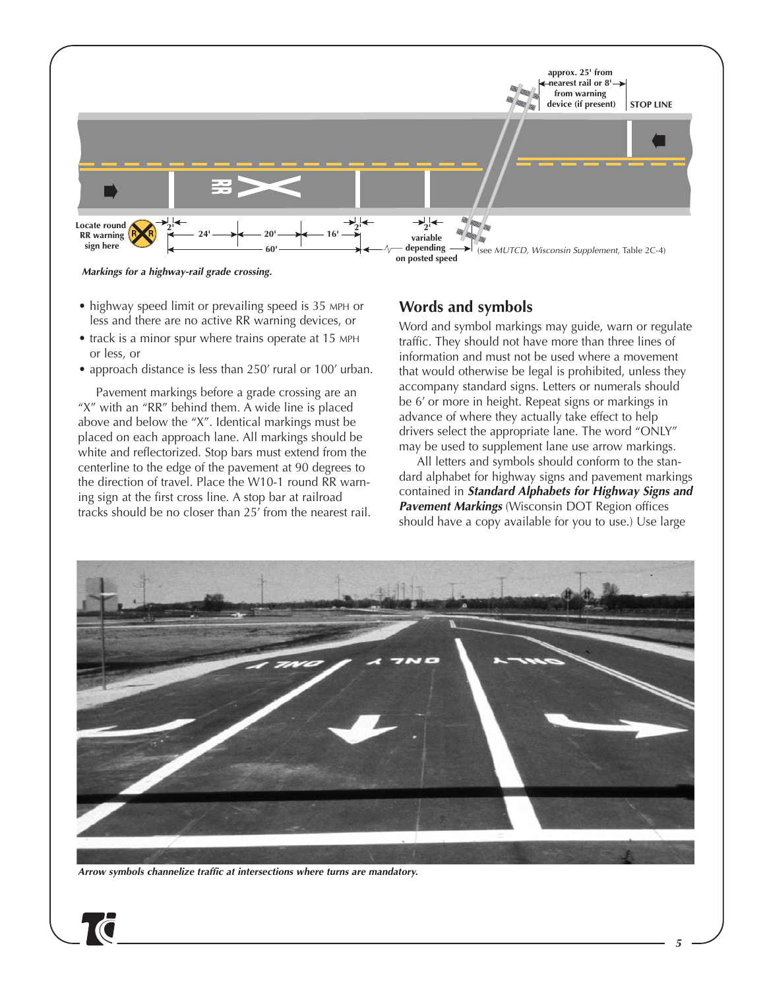

**Markings for a highway-rail grade crossing.**

- highway speed limit or prevailing speed is 35 MPH or less and there are no active RR warning devices, or
- track is a minor spur where trains operate at 15 MPH or less, or
- approach distance is less than 250' rural or 100' urban.

Pavement markings before a grade crossing are an "X" with an "RR" behind them. A wide line is placed above and below the "X". Identical markings must be placed on each approach lane. All markings should be white and reflectorized. Stop bars must extend from the centerline to the edge of the pavement at 90 degrees to the direction of travel. Place the W10-1 round RR warning sign at the first cross line. A stop bar at railroad tracks should be no closer than 25' from the nearest rail.

### **Words and symbols**

Word and symbol markings may guide, warn or regulate traffic. They should not have more than three lines of information and must not be used where a movement that would otherwise be legal is prohibited, unless they accompany standard signs. Letters or numerals should be 6' or more in height. Repeat signs or markings in advance of where they actually take effect to help drivers select the appropriate lane. The word "ONLY" may be used to supplement lane use arrow markings.

All letters and symbols should conform to the standard alphabet for highway signs and pavement markings contained in **Standard Alphabets for Highway Signs and Pavement Markings** (Wisconsin DOT Region offices should have a copy available for you to use.) Use large



**Arrow symbols channelize traffic at intersections where turns are mandatory.**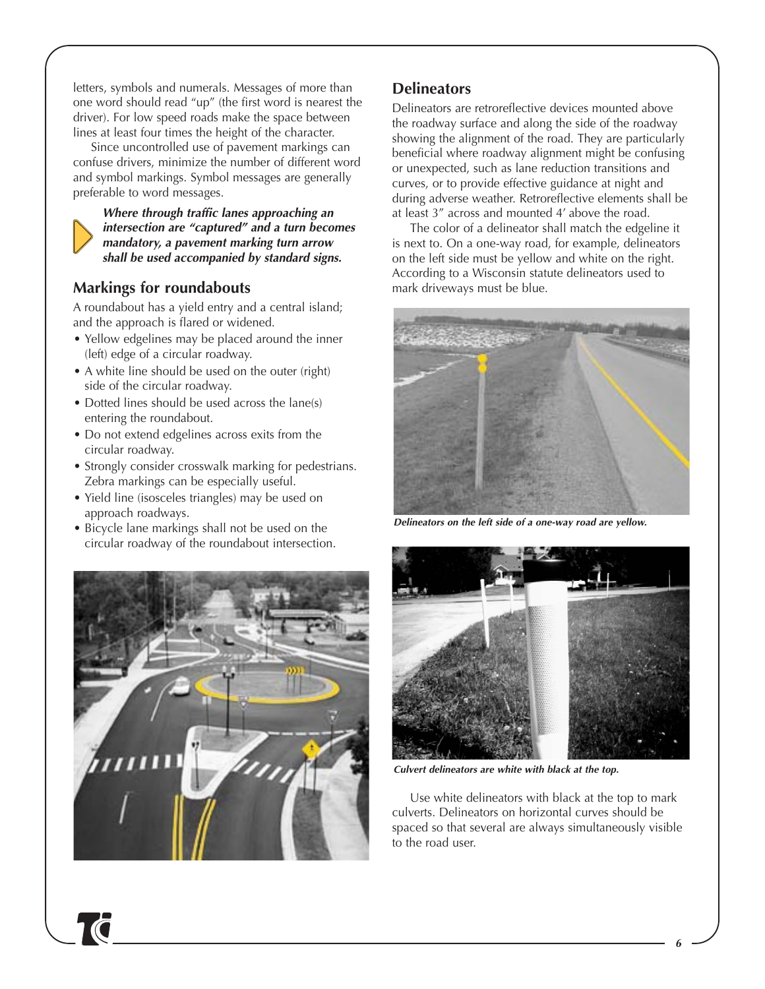letters, symbols and numerals. Messages of more than one word should read "up" (the first word is nearest the driver). For low speed roads make the space between lines at least four times the height of the character.

Since uncontrolled use of pavement markings can confuse drivers, minimize the number of different word and symbol markings. Symbol messages are generally preferable to word messages.



**Where through traffic lanes approaching an intersection are "captured" and a turn becomes mandatory, a pavement marking turn arrow shall be used accompanied by standard signs.**

### **Markings for roundabouts**

A roundabout has a yield entry and a central island; and the approach is flared or widened.

- Yellow edgelines may be placed around the inner (left) edge of a circular roadway.
- A white line should be used on the outer (right) side of the circular roadway.
- Dotted lines should be used across the lane(s) entering the roundabout.
- Do not extend edgelines across exits from the circular roadway.
- Strongly consider crosswalk marking for pedestrians. Zebra markings can be especially useful.
- Yield line (isosceles triangles) may be used on approach roadways.
- Bicycle lane markings shall not be used on the circular roadway of the roundabout intersection.



### **Delineators**

Delineators are retroreflective devices mounted above the roadway surface and along the side of the roadway showing the alignment of the road. They are particularly beneficial where roadway alignment might be confusing or unexpected, such as lane reduction transitions and curves, or to provide effective guidance at night and during adverse weather. Retroreflective elements shall be at least 3" across and mounted 4' above the road.

The color of a delineator shall match the edgeline it is next to. On a one-way road, for example, delineators on the left side must be yellow and white on the right. According to a Wisconsin statute delineators used to mark driveways must be blue.



**Delineators on the left side of a one-way road are yellow.**



**Culvert delineators are white with black at the top.**

Use white delineators with black at the top to mark culverts. Delineators on horizontal curves should be spaced so that several are always simultaneously visible to the road user.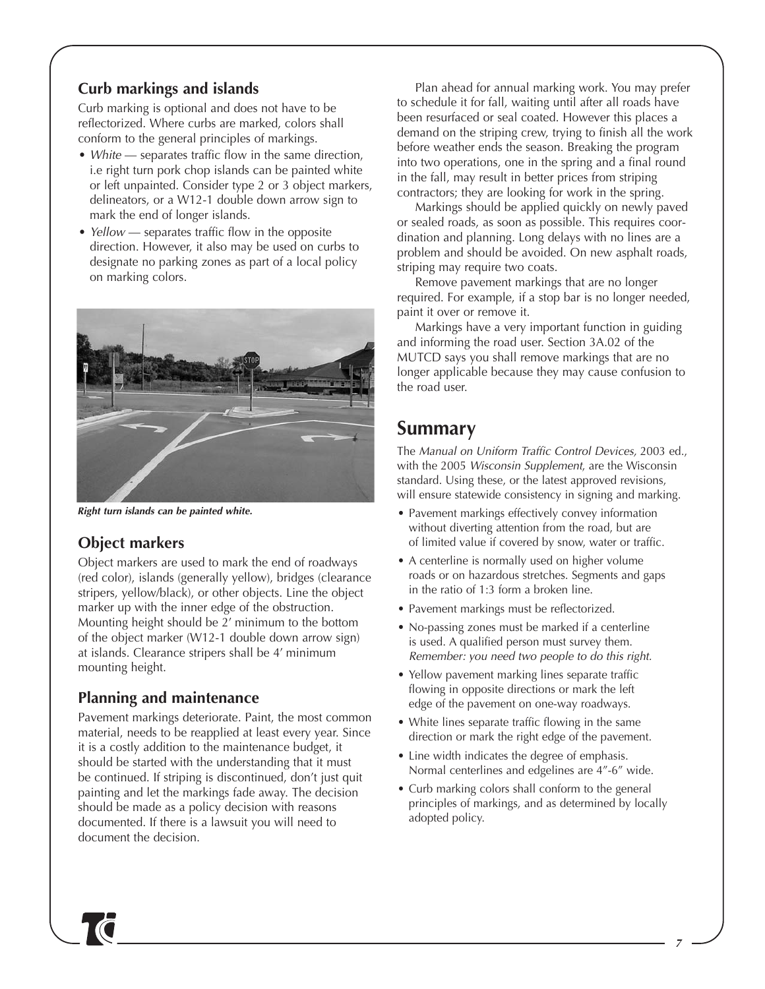### **Curb markings and islands**

Curb marking is optional and does not have to be reflectorized. Where curbs are marked, colors shall conform to the general principles of markings.

- White separates traffic flow in the same direction, i.e right turn pork chop islands can be painted white or left unpainted. Consider type 2 or 3 object markers, delineators, or a W12-1 double down arrow sign to mark the end of longer islands.
- Yellow separates traffic flow in the opposite direction. However, it also may be used on curbs to designate no parking zones as part of a local policy on marking colors.



**Right turn islands can be painted white.**

### **Object markers**

Object markers are used to mark the end of roadways (red color), islands (generally yellow), bridges (clearance stripers, yellow/black), or other objects. Line the object marker up with the inner edge of the obstruction. Mounting height should be 2' minimum to the bottom of the object marker (W12-1 double down arrow sign) at islands. Clearance stripers shall be 4' minimum mounting height.

### **Planning and maintenance**

Pavement markings deteriorate. Paint, the most common material, needs to be reapplied at least every year. Since it is a costly addition to the maintenance budget, it should be started with the understanding that it must be continued. If striping is discontinued, don't just quit painting and let the markings fade away. The decision should be made as a policy decision with reasons documented. If there is a lawsuit you will need to document the decision.

Plan ahead for annual marking work. You may prefer to schedule it for fall, waiting until after all roads have been resurfaced or seal coated. However this places a demand on the striping crew, trying to finish all the work before weather ends the season. Breaking the program into two operations, one in the spring and a final round in the fall, may result in better prices from striping contractors; they are looking for work in the spring.

Markings should be applied quickly on newly paved or sealed roads, as soon as possible. This requires coordination and planning. Long delays with no lines are a problem and should be avoided. On new asphalt roads, striping may require two coats.

Remove pavement markings that are no longer required. For example, if a stop bar is no longer needed, paint it over or remove it.

Markings have a very important function in guiding and informing the road user. Section 3A.02 of the MUTCD says you shall remove markings that are no longer applicable because they may cause confusion to the road user.

## **Summary**

The Manual on Uniform Traffic Control Devices, 2003 ed., with the 2005 Wisconsin Supplement, are the Wisconsin standard. Using these, or the latest approved revisions, will ensure statewide consistency in signing and marking.

- Pavement markings effectively convey information without diverting attention from the road, but are of limited value if covered by snow, water or traffic.
- A centerline is normally used on higher volume roads or on hazardous stretches. Segments and gaps in the ratio of 1:3 form a broken line.
- Pavement markings must be reflectorized.
- No-passing zones must be marked if a centerline is used. A qualified person must survey them. Remember: you need two people to do this right.
- Yellow pavement marking lines separate traffic flowing in opposite directions or mark the left edge of the pavement on one-way roadways.
- White lines separate traffic flowing in the same direction or mark the right edge of the pavement.
- Line width indicates the degree of emphasis. Normal centerlines and edgelines are 4"-6" wide.
- Curb marking colors shall conform to the general principles of markings, and as determined by locally adopted policy.